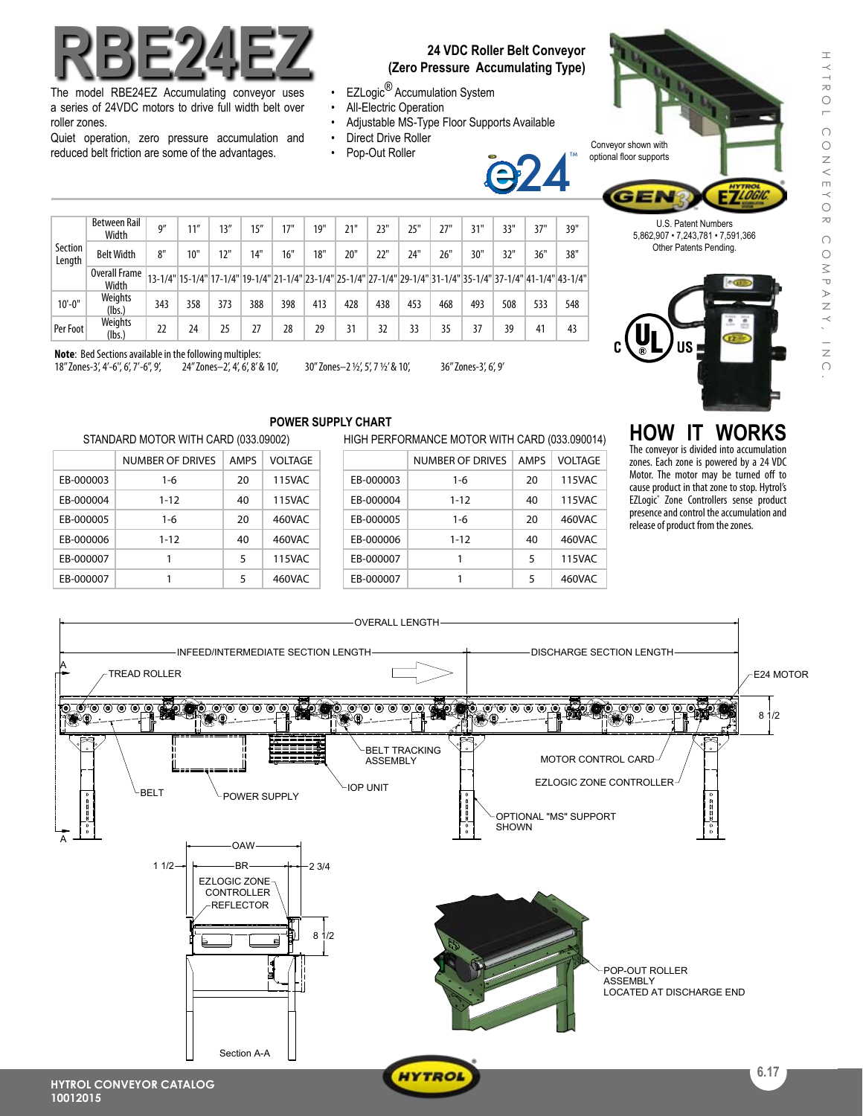# **RBE24EZ**

The model RBE24EZ Accumulating conveyor uses a series of 24VDC motors to drive full width belt over roller zones.

Quiet operation, zero pressure accumulation and reduced belt friction are some of the advantages.

## **24 VDC Roller Belt Conveyor (Zero Pressure Accumulating Type)**

j<br>e

<u>24</u>

- EZLogic<sup>®</sup> Accumulation System
- All-Electric Operation
- Adjustable MS-Type Floor Supports Available
- Direct Drive Roller
- Pop-Out Roller



U.S. Patent Numbers 5,862,907 • 7,243,781 • 7,591,366 Other Patents Pending.

| Section<br>Length | Between Rail<br>Width  | 9'' | 11'' | 13'' | 15'' | 17" | 19" | 21" | 23" | 25" | 27" | 31" | 33"                                                                                                             | 37" | 39" |
|-------------------|------------------------|-----|------|------|------|-----|-----|-----|-----|-----|-----|-----|-----------------------------------------------------------------------------------------------------------------|-----|-----|
|                   | <b>Belt Width</b>      | 8"  | 10"  | 12"  | 14"  | 16" | 18" | 20" | 22" | 24" | 26" | 30" | 32"                                                                                                             | 36" | 38" |
|                   | Overall Frame<br>Width |     |      |      |      |     |     |     |     |     |     |     | 13-1/4" 15-1/4" 17-1/4" 19-1/4" 21-1/4" 23-1/4" 25-1/4" 27-1/4" 29-1/4" 31-1/4" 35-1/4" 37-1/4" 41-1/4" 43-1/4" |     |     |
| $10'-0$ "         | Weights<br>(lbs.)      | 343 | 358  | 373  | 388  | 398 | 413 | 428 | 438 | 453 | 468 | 493 | 508                                                                                                             | 533 | 548 |
| Per Foot          | Weights<br>(lbs.)      | 22  | 24   | 25   | 27   | 28  | 29  | 31  | 32  | 33  | 35  | 37  | 39                                                                                                              | 41  | 43  |
|                   |                        |     |      |      |      |     |     |     |     |     |     |     |                                                                                                                 |     |     |

**Note**: Bed Sections available in the following multiples:<br>18" Zones-3', 4'-6', 6', 7'-6", 9', 24" Zones-2', 4', 6', 8' & 10',

18'' Zones-3', 4'-6'', 6', 7'-6'', 9', 24" Zones–2', 4', 6', 8' & 10', 30" Zones–2 1/2', 5', 7 1/2' & 10', 36'' Zones-3', 6', 9'

STANDARD MOTOR WITH CARD (033.09002)

EB-000003 1-6 20 115VAC EB-000004 1-12 40 115VAC EB-000005 1-6 20 460VAC EB-000006 1-12 40 460VAC EB-000007 1 1 5 115VAC EB-000007 1 5 460VAC

NUMBER OF DRIVES | AMPS | VOLTAGE

## **POWER SUPPLY CHART**

## HIGH PERFORMANCE MOTOR WITH CARD (033.090014)

|           | NUMBER OF DRIVES | <b>AMPS</b> | VOLTAGE |  |  |
|-----------|------------------|-------------|---------|--|--|
| EB-000003 | $1 - 6$          | 20          | 115VAC  |  |  |
| EB-000004 | $1 - 12$         | 40          | 115VAC  |  |  |
| EB-000005 | $1 - 6$          | 20          | 460VAC  |  |  |
| EB-000006 | $1 - 12$         | 40          | 460VAC  |  |  |
| EB-000007 |                  | 5           | 115VAC  |  |  |
| EB-000007 |                  | 5           | 460VAC  |  |  |
|           |                  |             |         |  |  |

## **HOW IT WORKS**

The conveyor is divided into accumulation zones. Each zone is powered by a 24 VDC Motor. The motor may be turned off to cause product in that zone to stop. Hytrol's EZLogic® Zone Controllers sense product presence and control the accumulation and release of product from the zones.



 $\pm$